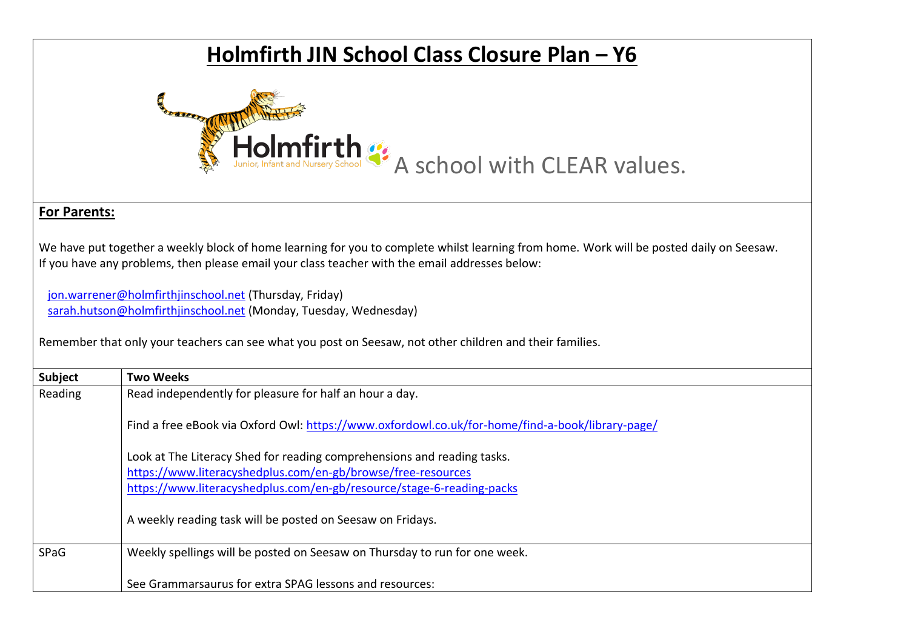## **Holmfirth JIN School Class Closure Plan – Y6** Holmfirth  $\frac{1}{2}$  A school with CLEAR values. **For Parents:**  We have put together a weekly block of home learning for you to complete whilst learning from home. Work will be posted daily on Seesaw. If you have any problems, then please email your class teacher with the email addresses below: [jon.warrener@holmfirthjinschool.net](mailto:jon.warrener@holmfirthjinschool.net) (Thursday, Friday) [sarah.hutson@holmfirthjinschool.net](mailto:sarah.hutson@holmfirthjinschool.net) (Monday, Tuesday, Wednesday) Remember that only your teachers can see what you post on Seesaw, not other children and their families. **Subject Two Weeks** Reading Read independently for pleasure for half an hour a day. Find a free eBook via Oxford Owl:<https://www.oxfordowl.co.uk/for-home/find-a-book/library-page/>

Look at The Literacy Shed for reading comprehensions and reading tasks. <https://www.literacyshedplus.com/en-gb/browse/free-resources> <https://www.literacyshedplus.com/en-gb/resource/stage-6-reading-packs>

A weekly reading task will be posted on Seesaw on Fridays.

SPaG Weekly spellings will be posted on Seesaw on Thursday to run for one week.

See Grammarsaurus for extra SPAG lessons and resources: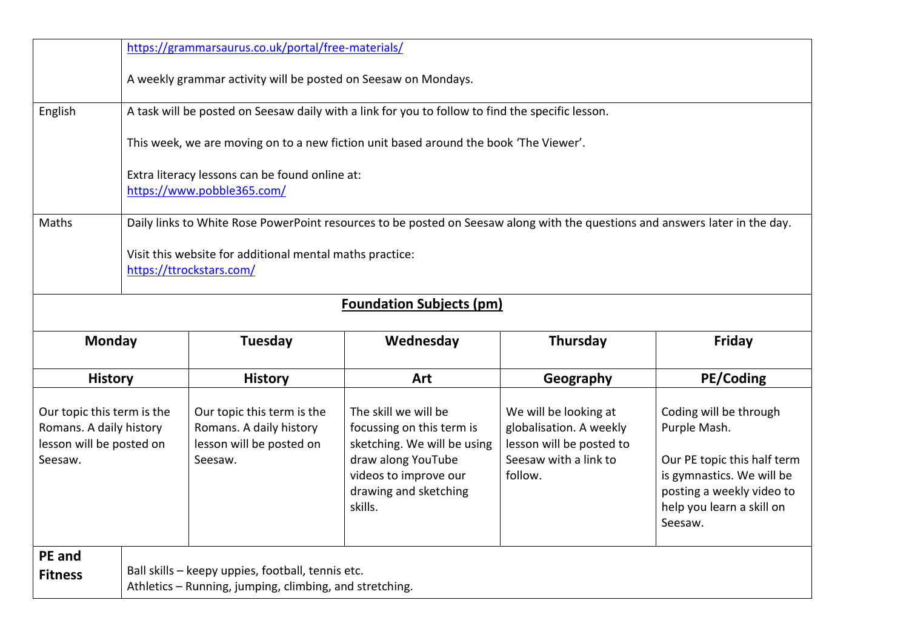| https://grammarsaurus.co.uk/portal/free-materials/                                           |                                                                                                                              |                                                                                                              |                                                                                                                                                                     |                                                                                                                  |                                                                                                                                                              |  |
|----------------------------------------------------------------------------------------------|------------------------------------------------------------------------------------------------------------------------------|--------------------------------------------------------------------------------------------------------------|---------------------------------------------------------------------------------------------------------------------------------------------------------------------|------------------------------------------------------------------------------------------------------------------|--------------------------------------------------------------------------------------------------------------------------------------------------------------|--|
|                                                                                              | A weekly grammar activity will be posted on Seesaw on Mondays.                                                               |                                                                                                              |                                                                                                                                                                     |                                                                                                                  |                                                                                                                                                              |  |
| English                                                                                      | A task will be posted on Seesaw daily with a link for you to follow to find the specific lesson.                             |                                                                                                              |                                                                                                                                                                     |                                                                                                                  |                                                                                                                                                              |  |
|                                                                                              | This week, we are moving on to a new fiction unit based around the book 'The Viewer'.                                        |                                                                                                              |                                                                                                                                                                     |                                                                                                                  |                                                                                                                                                              |  |
|                                                                                              | Extra literacy lessons can be found online at:<br>https://www.pobble365.com/                                                 |                                                                                                              |                                                                                                                                                                     |                                                                                                                  |                                                                                                                                                              |  |
| Maths                                                                                        | Daily links to White Rose PowerPoint resources to be posted on Seesaw along with the questions and answers later in the day. |                                                                                                              |                                                                                                                                                                     |                                                                                                                  |                                                                                                                                                              |  |
|                                                                                              | Visit this website for additional mental maths practice:<br>https://ttrockstars.com/                                         |                                                                                                              |                                                                                                                                                                     |                                                                                                                  |                                                                                                                                                              |  |
|                                                                                              |                                                                                                                              |                                                                                                              | <b>Foundation Subjects (pm)</b>                                                                                                                                     |                                                                                                                  |                                                                                                                                                              |  |
| <b>Monday</b>                                                                                |                                                                                                                              | Tuesday                                                                                                      | Wednesday                                                                                                                                                           | <b>Thursday</b>                                                                                                  | Friday                                                                                                                                                       |  |
| <b>History</b>                                                                               |                                                                                                                              | <b>History</b>                                                                                               | Art                                                                                                                                                                 | Geography                                                                                                        | PE/Coding                                                                                                                                                    |  |
| Our topic this term is the<br>Romans. A daily history<br>lesson will be posted on<br>Seesaw. |                                                                                                                              | Our topic this term is the<br>Romans. A daily history<br>lesson will be posted on<br>Seesaw.                 | The skill we will be<br>focussing on this term is<br>sketching. We will be using<br>draw along YouTube<br>videos to improve our<br>drawing and sketching<br>skills. | We will be looking at<br>globalisation. A weekly<br>lesson will be posted to<br>Seesaw with a link to<br>follow. | Coding will be through<br>Purple Mash.<br>Our PE topic this half term<br>is gymnastics. We will be<br>posting a weekly video to<br>help you learn a skill on |  |
| PE and<br><b>Fitness</b>                                                                     |                                                                                                                              | Ball skills - keepy uppies, football, tennis etc.<br>Athletics - Running, jumping, climbing, and stretching. |                                                                                                                                                                     |                                                                                                                  | Seesaw.                                                                                                                                                      |  |